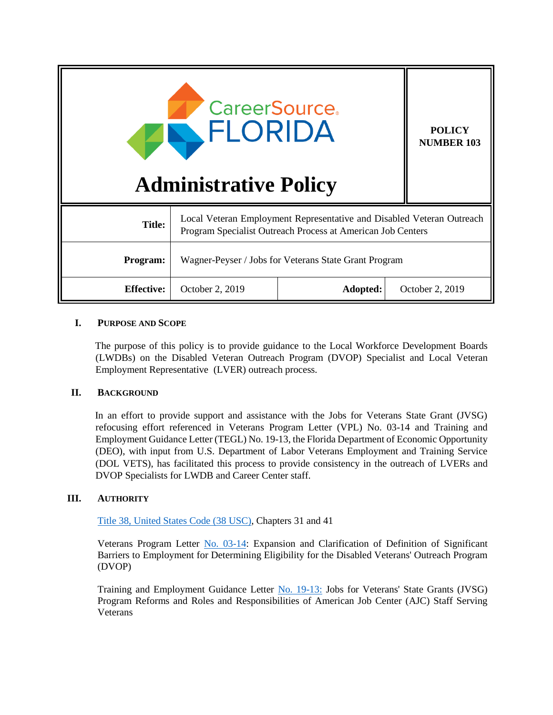| <b>CareerSource.</b><br>FLORIDA<br><b>Administrative Policy</b> |                                                                                                                                      |          | <b>POLICY</b><br><b>NUMBER 103</b> |
|-----------------------------------------------------------------|--------------------------------------------------------------------------------------------------------------------------------------|----------|------------------------------------|
| <b>Title:</b>                                                   | Local Veteran Employment Representative and Disabled Veteran Outreach<br>Program Specialist Outreach Process at American Job Centers |          |                                    |
| Program:                                                        | Wagner-Peyser / Jobs for Veterans State Grant Program                                                                                |          |                                    |
| <b>Effective:</b>                                               | October 2, 2019                                                                                                                      | Adopted: | October 2, 2019                    |

# **I. PURPOSE AND SCOPE**

The purpose of this policy is to provide guidance to the Local Workforce Development Boards (LWDBs) on the Disabled Veteran Outreach Program (DVOP) Specialist and Local Veteran Employment Representative (LVER) outreach process.

## **II. BACKGROUND**

In an effort to provide support and assistance with the Jobs for Veterans State Grant (JVSG) refocusing effort referenced in Veterans Program Letter (VPL) No. 03-14 and Training and Employment Guidance Letter (TEGL) No. 19-13, the Florida Department of Economic Opportunity (DEO), with input from U.S. Department of Labor Veterans Employment and Training Service (DOL VETS), has facilitated this process to provide consistency in the outreach of LVERs and DVOP Specialists for LWDB and Career Center staff.

## **III. AUTHORITY**

[Title 38, United States Code \(38 USC\),](https://www.gpo.gov/fdsys/pkg/USCODE-2008-title38/pdf/USCODE-2008-title38.pdf) Chapters 31 and 41

Veterans Program Letter [No. 03-14:](https://www.dol.gov/sites/dolgov/files/VETS/legacy/files/VPL-03-14.pdf) Expansion and Clarification of Definition of Significant Barriers to Employment for Determining Eligibility for the Disabled Veterans' Outreach Program (DVOP)

Training and Employment Guidance Letter [No. 19-13:](https://wdr.doleta.gov/directives/attach/TEGL/TEGL_19_13_Acc.pdf) Jobs for Veterans' State Grants (JVSG) Program Reforms and Roles and Responsibilities of American Job Center (AJC) Staff Serving Veterans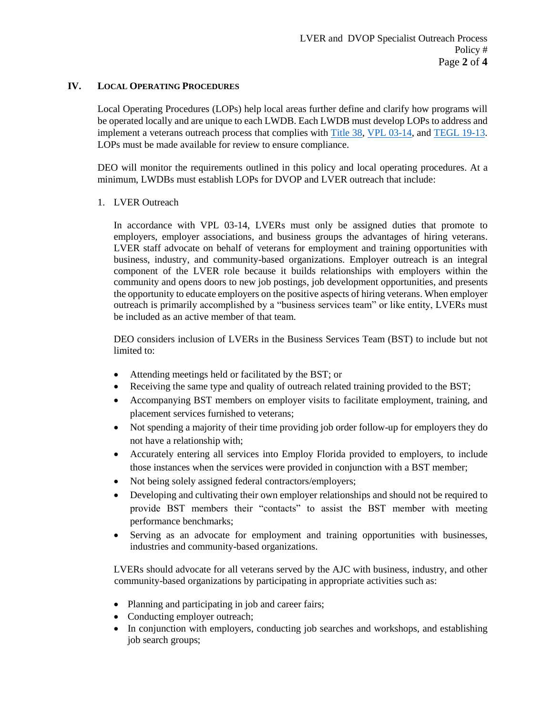## **IV. LOCAL OPERATING PROCEDURES**

Local Operating Procedures (LOPs) help local areas further define and clarify how programs will be operated locally and are unique to each LWDB. Each LWDB must develop LOPs to address and implement a veterans outreach process that complies with [Title 38,](https://www.gpo.gov/fdsys/pkg/USCODE-2008-title38/pdf/USCODE-2008-title38.pdf) [VPL 03-14,](https://www.dol.gov/sites/dolgov/files/VETS/legacy/files/VPL-03-14.pdf) and [TEGL 19-13.](https://wdr.doleta.gov/directives/attach/TEGL/TEGL_19_13.pdf) LOPs must be made available for review to ensure compliance.

DEO will monitor the requirements outlined in this policy and local operating procedures. At a minimum, LWDBs must establish LOPs for DVOP and LVER outreach that include:

## 1. LVER Outreach

In accordance with VPL 03-14, LVERs must only be assigned duties that promote to employers, employer associations, and business groups the advantages of hiring veterans. LVER staff advocate on behalf of veterans for employment and training opportunities with business, industry, and community-based organizations. Employer outreach is an integral component of the LVER role because it builds relationships with employers within the community and opens doors to new job postings, job development opportunities, and presents the opportunity to educate employers on the positive aspects of hiring veterans. When employer outreach is primarily accomplished by a "business services team" or like entity, LVERs must be included as an active member of that team.

DEO considers inclusion of LVERs in the Business Services Team (BST) to include but not limited to:

- Attending meetings held or facilitated by the BST; or
- Receiving the same type and quality of outreach related training provided to the BST;
- Accompanying BST members on employer visits to facilitate employment, training, and placement services furnished to veterans;
- Not spending a majority of their time providing job order follow-up for employers they do not have a relationship with;
- Accurately entering all services into Employ Florida provided to employers, to include those instances when the services were provided in conjunction with a BST member;
- Not being solely assigned federal contractors/employers;
- Developing and cultivating their own employer relationships and should not be required to provide BST members their "contacts" to assist the BST member with meeting performance benchmarks;
- Serving as an advocate for employment and training opportunities with businesses, industries and community-based organizations.

LVERs should advocate for all veterans served by the AJC with business, industry, and other community-based organizations by participating in appropriate activities such as:

- Planning and participating in job and career fairs;
- Conducting employer outreach;
- In conjunction with employers, conducting job searches and workshops, and establishing job search groups;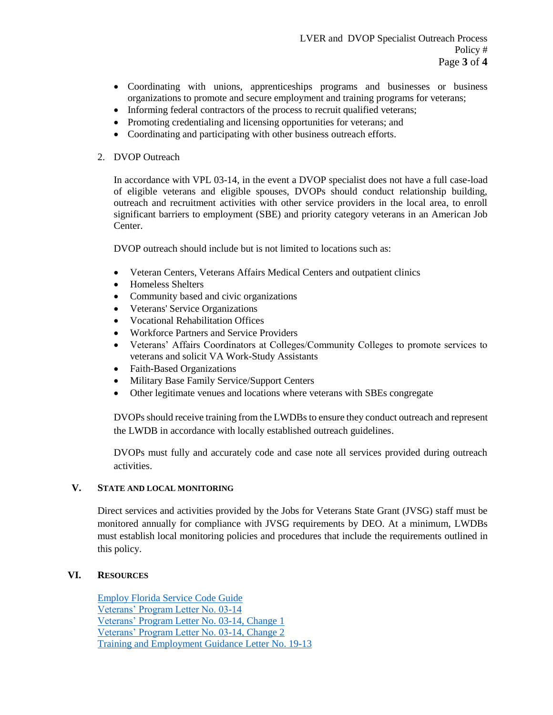- Coordinating with unions, apprenticeships programs and businesses or business organizations to promote and secure employment and training programs for veterans;
- Informing federal contractors of the process to recruit qualified veterans;
- Promoting credentialing and licensing opportunities for veterans; and
- Coordinating and participating with other business outreach efforts.

## 2. DVOP Outreach

In accordance with VPL 03-14, in the event a DVOP specialist does not have a full case-load of eligible veterans and eligible spouses, DVOPs should conduct relationship building, outreach and recruitment activities with other service providers in the local area, to enroll significant barriers to employment (SBE) and priority category veterans in an American Job Center.

DVOP outreach should include but is not limited to locations such as:

- Veteran Centers, Veterans Affairs Medical Centers and outpatient clinics
- Homeless Shelters
- Community based and civic organizations
- Veterans' Service Organizations
- Vocational Rehabilitation Offices
- Workforce Partners and Service Providers
- Veterans' Affairs Coordinators at Colleges/Community Colleges to promote services to veterans and solicit VA Work-Study Assistants
- Faith-Based Organizations
- Military Base Family Service/Support Centers
- Other legitimate venues and locations where veterans with SBEs congregate

DVOPs should receive training from the LWDBs to ensure they conduct outreach and represent the LWDB in accordance with locally established outreach guidelines.

DVOPs must fully and accurately code and case note all services provided during outreach activities.

## **V. STATE AND LOCAL MONITORING**

Direct services and activities provided by the Jobs for Veterans State Grant (JVSG) staff must be monitored annually for compliance with JVSG requirements by DEO. At a minimum, LWDBs must establish local monitoring policies and procedures that include the requirements outlined in this policy.

## **VI. RESOURCES**

[Employ Florida Service Code Guide](http://www.floridajobs.org/docs/default-source/lwdb-resources/programs-and-resources/wioa/2018-wioa/service-code-guide-072018.pdf?sfvrsn=4) [Veterans' Program Letter No. 03-14](https://www.dol.gov/sites/dolgov/files/VETS/legacy/files/VPL-03-14.pdf) [Veterans' Program Letter No. 03-14, Change 1](https://www.dol.gov/sites/dolgov/files/VETS/legacy/files/VPL-03-14-Change-1.pdf) [Veterans' Program Letter No. 03-14, Change 2](https://www.dol.gov/sites/dolgov/files/VETS/legacy/files/VPL-03-14-Change-2.pdf) [Training and Employment Guidance Letter No. 19-13](https://wdr.doleta.gov/directives/attach/TEGL/TEGL_19_13.pdf)